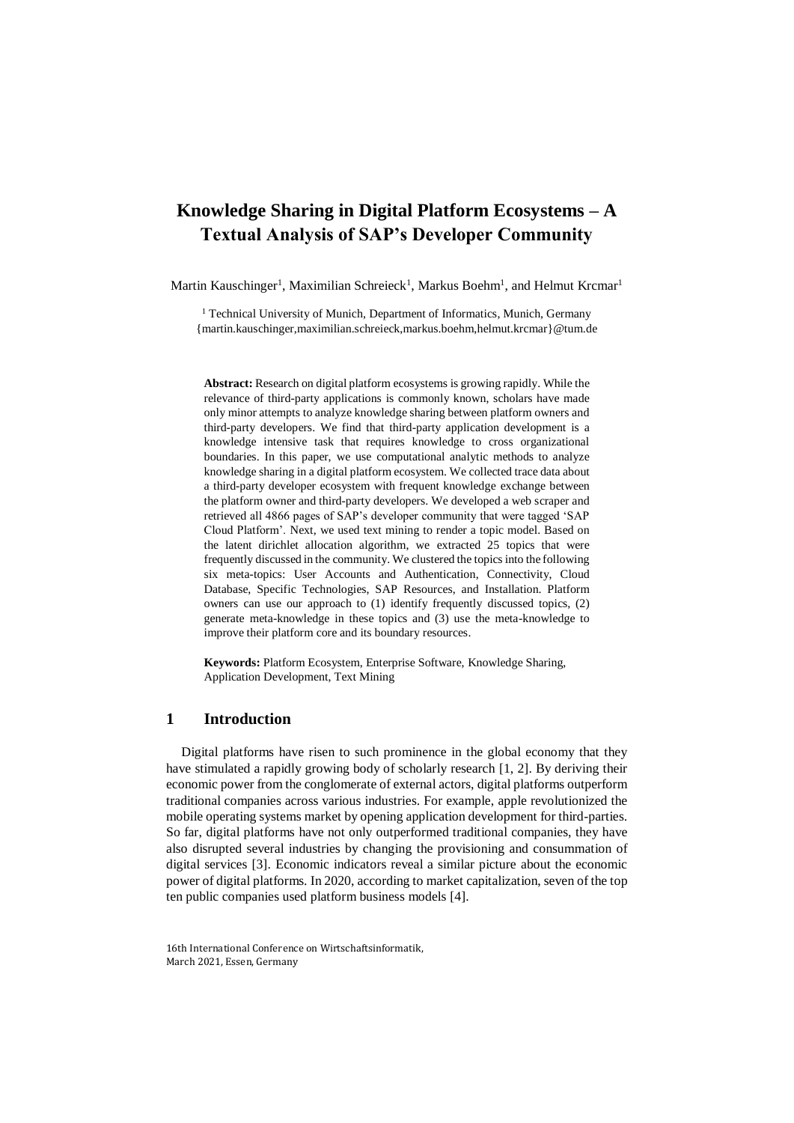# **Knowledge Sharing in Digital Platform Ecosystems – A Textual Analysis of SAP's Developer Community**

Martin Kauschinger<sup>1</sup>, Maximilian Schreieck<sup>1</sup>, Markus Boehm<sup>1</sup>, and Helmut Krcmar<sup>1</sup>

<sup>1</sup> Technical University of Munich, Department of Informatics, Munich, Germany {martin.kauschinger,maximilian.schreieck,markus.boehm,helmut.krcmar}@tum.de

**Abstract:** Research on digital platform ecosystems is growing rapidly. While the relevance of third-party applications is commonly known, scholars have made only minor attempts to analyze knowledge sharing between platform owners and third-party developers. We find that third-party application development is a knowledge intensive task that requires knowledge to cross organizational boundaries. In this paper, we use computational analytic methods to analyze knowledge sharing in a digital platform ecosystem. We collected trace data about a third-party developer ecosystem with frequent knowledge exchange between the platform owner and third-party developers. We developed a web scraper and retrieved all 4866 pages of SAP's developer community that were tagged 'SAP Cloud Platform'. Next, we used text mining to render a topic model. Based on the latent dirichlet allocation algorithm, we extracted 25 topics that were frequently discussed in the community. We clustered the topics into the following six meta-topics: User Accounts and Authentication, Connectivity, Cloud Database, Specific Technologies, SAP Resources, and Installation. Platform owners can use our approach to (1) identify frequently discussed topics, (2) generate meta-knowledge in these topics and (3) use the meta-knowledge to improve their platform core and its boundary resources.

**Keywords:** Platform Ecosystem, Enterprise Software, Knowledge Sharing, Application Development, Text Mining

### **1 Introduction**

Digital platforms have risen to such prominence in the global economy that they have stimulated a rapidly growing body of scholarly research [1, 2]. By deriving their economic power from the conglomerate of external actors, digital platforms outperform traditional companies across various industries. For example, apple revolutionized the mobile operating systems market by opening application development for third-parties. So far, digital platforms have not only outperformed traditional companies, they have also disrupted several industries by changing the provisioning and consummation of digital services [3]. Economic indicators reveal a similar picture about the economic power of digital platforms. In 2020, according to market capitalization, seven of the top ten public companies used platform business models [4].

<sup>16</sup>th International Conference on Wirtschaftsinformatik, March 2021, Essen, Germany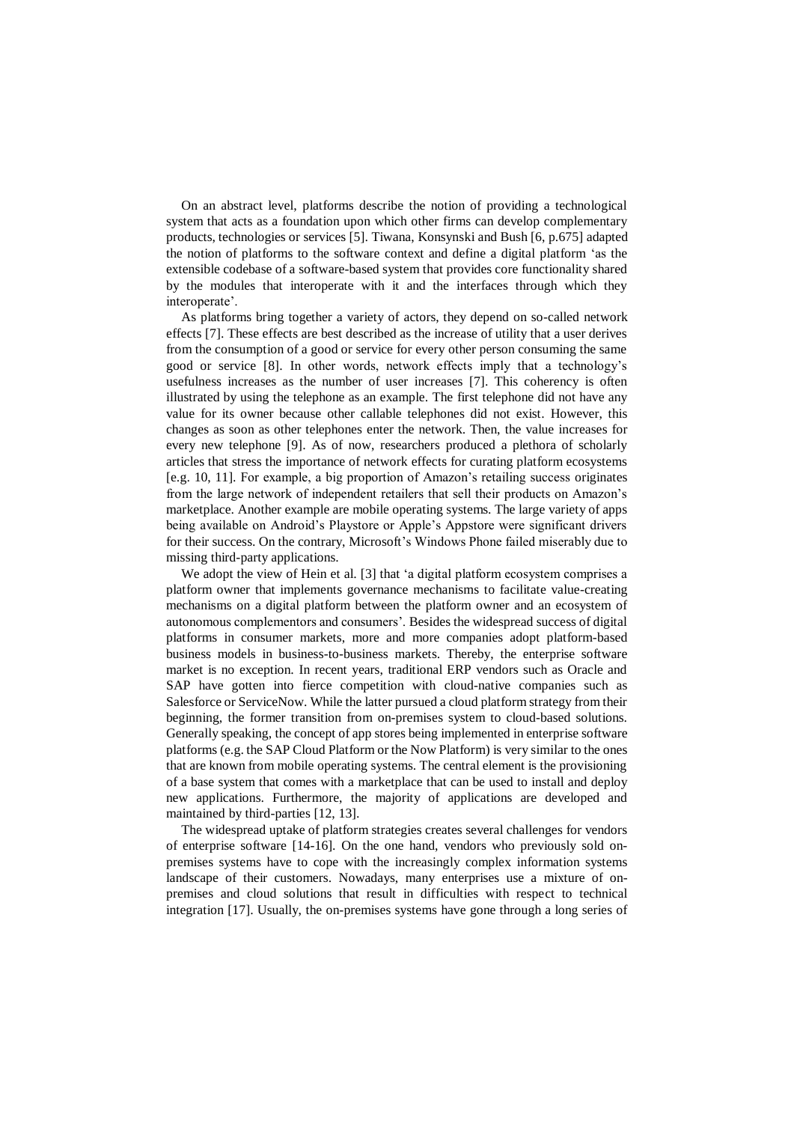On an abstract level, platforms describe the notion of providing a technological system that acts as a foundation upon which other firms can develop complementary products, technologies or services [5]. Tiwana, Konsynski and Bush [6, p.675] adapted the notion of platforms to the software context and define a digital platform 'as the extensible codebase of a software-based system that provides core functionality shared by the modules that interoperate with it and the interfaces through which they interoperate'.

As platforms bring together a variety of actors, they depend on so-called network effects [7]. These effects are best described as the increase of utility that a user derives from the consumption of a good or service for every other person consuming the same good or service [8]. In other words, network effects imply that a technology's usefulness increases as the number of user increases [7]. This coherency is often illustrated by using the telephone as an example. The first telephone did not have any value for its owner because other callable telephones did not exist. However, this changes as soon as other telephones enter the network. Then, the value increases for every new telephone [9]. As of now, researchers produced a plethora of scholarly articles that stress the importance of network effects for curating platform ecosystems [e.g. 10, 11]. For example, a big proportion of Amazon's retailing success originates from the large network of independent retailers that sell their products on Amazon's marketplace. Another example are mobile operating systems. The large variety of apps being available on Android's Playstore or Apple's Appstore were significant drivers for their success. On the contrary, Microsoft's Windows Phone failed miserably due to missing third-party applications.

We adopt the view of Hein et al. [3] that 'a digital platform ecosystem comprises a platform owner that implements governance mechanisms to facilitate value-creating mechanisms on a digital platform between the platform owner and an ecosystem of autonomous complementors and consumers'. Besides the widespread success of digital platforms in consumer markets, more and more companies adopt platform-based business models in business-to-business markets. Thereby, the enterprise software market is no exception. In recent years, traditional ERP vendors such as Oracle and SAP have gotten into fierce competition with cloud-native companies such as Salesforce or ServiceNow. While the latter pursued a cloud platform strategy from their beginning, the former transition from on-premises system to cloud-based solutions. Generally speaking, the concept of app stores being implemented in enterprise software platforms (e.g. the SAP Cloud Platform or the Now Platform) is very similar to the ones that are known from mobile operating systems. The central element is the provisioning of a base system that comes with a marketplace that can be used to install and deploy new applications. Furthermore, the majority of applications are developed and maintained by third-parties [12, 13].

The widespread uptake of platform strategies creates several challenges for vendors of enterprise software [14-16]. On the one hand, vendors who previously sold onpremises systems have to cope with the increasingly complex information systems landscape of their customers. Nowadays, many enterprises use a mixture of onpremises and cloud solutions that result in difficulties with respect to technical integration [17]. Usually, the on-premises systems have gone through a long series of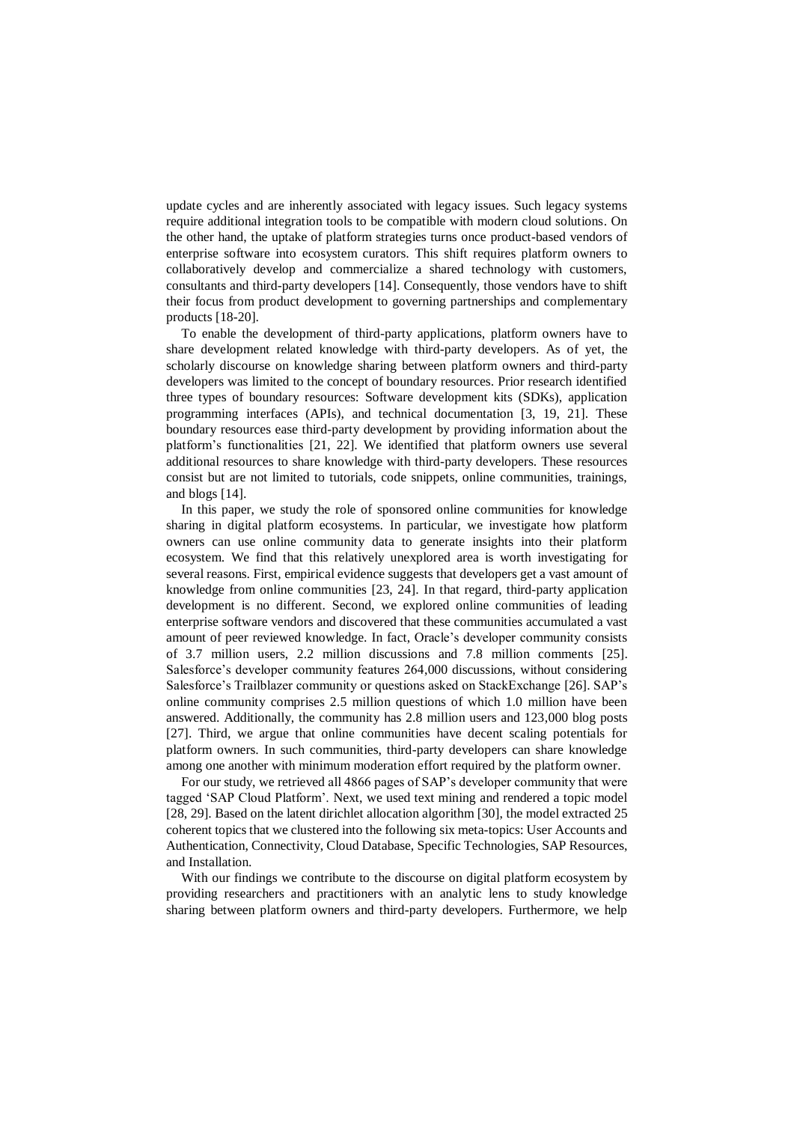update cycles and are inherently associated with legacy issues. Such legacy systems require additional integration tools to be compatible with modern cloud solutions. On the other hand, the uptake of platform strategies turns once product-based vendors of enterprise software into ecosystem curators. This shift requires platform owners to collaboratively develop and commercialize a shared technology with customers, consultants and third-party developers [14]. Consequently, those vendors have to shift their focus from product development to governing partnerships and complementary products [18-20].

To enable the development of third-party applications, platform owners have to share development related knowledge with third-party developers. As of yet, the scholarly discourse on knowledge sharing between platform owners and third-party developers was limited to the concept of boundary resources. Prior research identified three types of boundary resources: Software development kits (SDKs), application programming interfaces (APIs), and technical documentation [3, 19, 21]. These boundary resources ease third-party development by providing information about the platform's functionalities [21, 22]. We identified that platform owners use several additional resources to share knowledge with third-party developers. These resources consist but are not limited to tutorials, code snippets, online communities, trainings, and blogs [14].

In this paper, we study the role of sponsored online communities for knowledge sharing in digital platform ecosystems. In particular, we investigate how platform owners can use online community data to generate insights into their platform ecosystem. We find that this relatively unexplored area is worth investigating for several reasons. First, empirical evidence suggests that developers get a vast amount of knowledge from online communities [23, 24]. In that regard, third-party application development is no different. Second, we explored online communities of leading enterprise software vendors and discovered that these communities accumulated a vast amount of peer reviewed knowledge. In fact, Oracle's developer community consists of 3.7 million users, 2.2 million discussions and 7.8 million comments [25]. Salesforce's developer community features 264,000 discussions, without considering Salesforce's Trailblazer community or questions asked on StackExchange [26]. SAP's online community comprises 2.5 million questions of which 1.0 million have been answered. Additionally, the community has 2.8 million users and 123,000 blog posts [27]. Third, we argue that online communities have decent scaling potentials for platform owners. In such communities, third-party developers can share knowledge among one another with minimum moderation effort required by the platform owner.

For our study, we retrieved all 4866 pages of SAP's developer community that were tagged 'SAP Cloud Platform'. Next, we used text mining and rendered a topic model [28, 29]. Based on the latent dirichlet allocation algorithm [30], the model extracted 25 coherent topics that we clustered into the following six meta-topics: User Accounts and Authentication, Connectivity, Cloud Database, Specific Technologies, SAP Resources, and Installation.

With our findings we contribute to the discourse on digital platform ecosystem by providing researchers and practitioners with an analytic lens to study knowledge sharing between platform owners and third-party developers. Furthermore, we help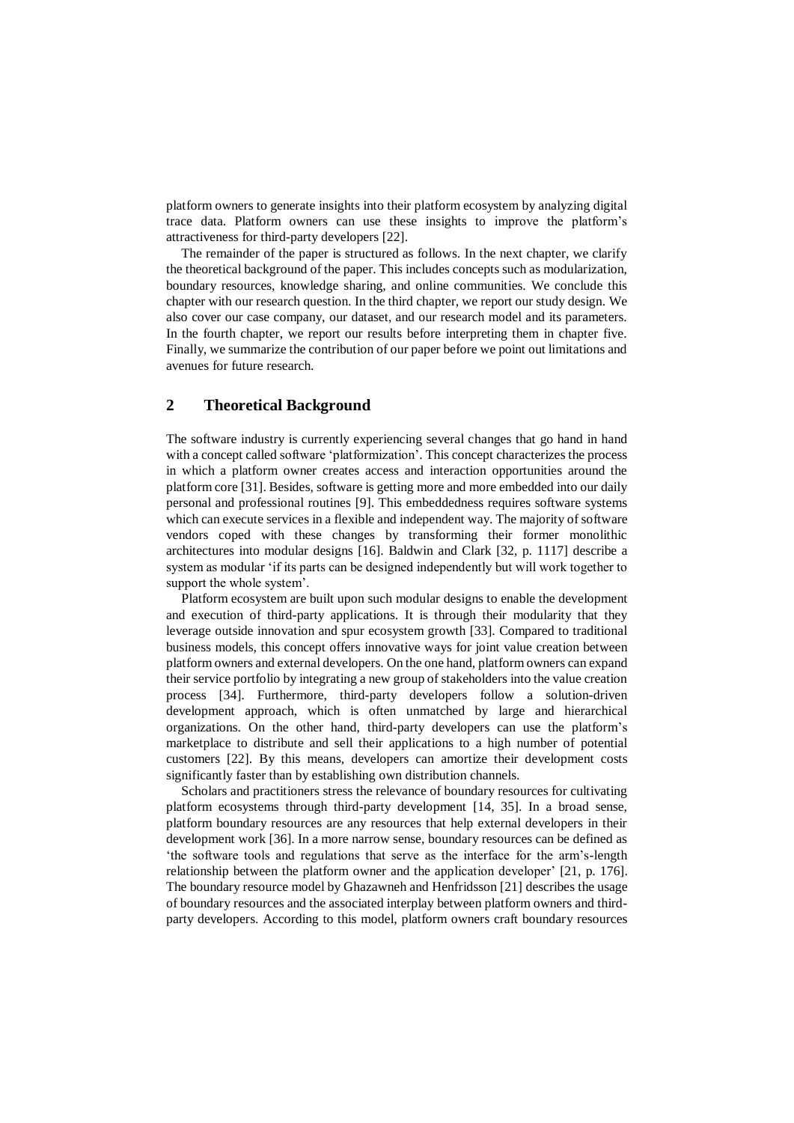platform owners to generate insights into their platform ecosystem by analyzing digital trace data. Platform owners can use these insights to improve the platform's attractiveness for third-party developers [22].

The remainder of the paper is structured as follows. In the next chapter, we clarify the theoretical background of the paper. This includes concepts such as modularization, boundary resources, knowledge sharing, and online communities. We conclude this chapter with our research question. In the third chapter, we report our study design. We also cover our case company, our dataset, and our research model and its parameters. In the fourth chapter, we report our results before interpreting them in chapter five. Finally, we summarize the contribution of our paper before we point out limitations and avenues for future research.

## **2 Theoretical Background**

The software industry is currently experiencing several changes that go hand in hand with a concept called software 'platformization'. This concept characterizes the process in which a platform owner creates access and interaction opportunities around the platform core [31]. Besides, software is getting more and more embedded into our daily personal and professional routines [9]. This embeddedness requires software systems which can execute services in a flexible and independent way. The majority of software vendors coped with these changes by transforming their former monolithic architectures into modular designs [16]. Baldwin and Clark [32, p. 1117] describe a system as modular 'if its parts can be designed independently but will work together to support the whole system'.

Platform ecosystem are built upon such modular designs to enable the development and execution of third-party applications. It is through their modularity that they leverage outside innovation and spur ecosystem growth [33]. Compared to traditional business models, this concept offers innovative ways for joint value creation between platform owners and external developers. On the one hand, platform owners can expand their service portfolio by integrating a new group of stakeholders into the value creation process [34]. Furthermore, third-party developers follow a solution-driven development approach, which is often unmatched by large and hierarchical organizations. On the other hand, third-party developers can use the platform's marketplace to distribute and sell their applications to a high number of potential customers [22]. By this means, developers can amortize their development costs significantly faster than by establishing own distribution channels.

Scholars and practitioners stress the relevance of boundary resources for cultivating platform ecosystems through third-party development [14, 35]. In a broad sense, platform boundary resources are any resources that help external developers in their development work [36]. In a more narrow sense, boundary resources can be defined as 'the software tools and regulations that serve as the interface for the arm's-length relationship between the platform owner and the application developer' [21, p. 176]. The boundary resource model by Ghazawneh and Henfridsson [21] describes the usage of boundary resources and the associated interplay between platform owners and thirdparty developers. According to this model, platform owners craft boundary resources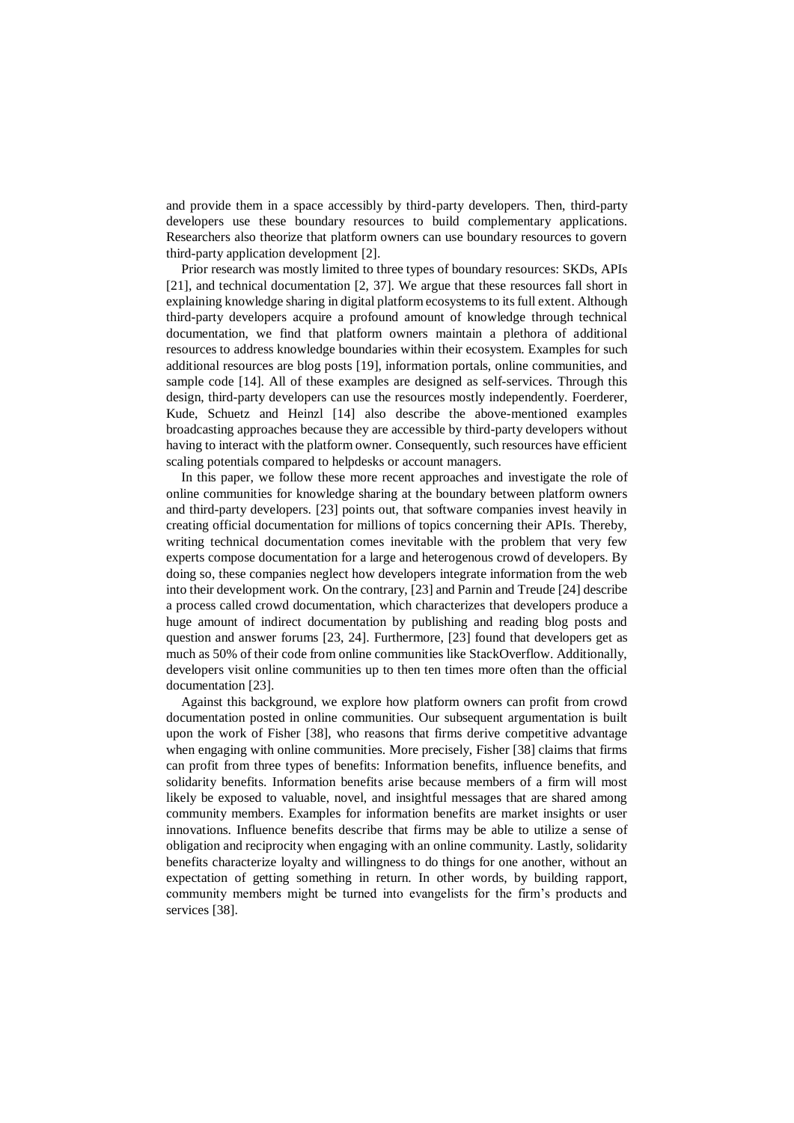and provide them in a space accessibly by third-party developers. Then, third-party developers use these boundary resources to build complementary applications. Researchers also theorize that platform owners can use boundary resources to govern third-party application development [2].

Prior research was mostly limited to three types of boundary resources: SKDs, APIs [21], and technical documentation [2, 37]. We argue that these resources fall short in explaining knowledge sharing in digital platform ecosystems to its full extent. Although third-party developers acquire a profound amount of knowledge through technical documentation, we find that platform owners maintain a plethora of additional resources to address knowledge boundaries within their ecosystem. Examples for such additional resources are blog posts [19], information portals, online communities, and sample code [14]. All of these examples are designed as self-services. Through this design, third-party developers can use the resources mostly independently. Foerderer, Kude, Schuetz and Heinzl [14] also describe the above-mentioned examples broadcasting approaches because they are accessible by third-party developers without having to interact with the platform owner. Consequently, such resources have efficient scaling potentials compared to helpdesks or account managers.

In this paper, we follow these more recent approaches and investigate the role of online communities for knowledge sharing at the boundary between platform owners and third-party developers. [23] points out, that software companies invest heavily in creating official documentation for millions of topics concerning their APIs. Thereby, writing technical documentation comes inevitable with the problem that very few experts compose documentation for a large and heterogenous crowd of developers. By doing so, these companies neglect how developers integrate information from the web into their development work. On the contrary, [23] and Parnin and Treude [24] describe a process called crowd documentation, which characterizes that developers produce a huge amount of indirect documentation by publishing and reading blog posts and question and answer forums [23, 24]. Furthermore, [23] found that developers get as much as 50% of their code from online communities like StackOverflow. Additionally, developers visit online communities up to then ten times more often than the official documentation [23].

Against this background, we explore how platform owners can profit from crowd documentation posted in online communities. Our subsequent argumentation is built upon the work of Fisher [38], who reasons that firms derive competitive advantage when engaging with online communities. More precisely, Fisher [38] claims that firms can profit from three types of benefits: Information benefits, influence benefits, and solidarity benefits. Information benefits arise because members of a firm will most likely be exposed to valuable, novel, and insightful messages that are shared among community members. Examples for information benefits are market insights or user innovations. Influence benefits describe that firms may be able to utilize a sense of obligation and reciprocity when engaging with an online community. Lastly, solidarity benefits characterize loyalty and willingness to do things for one another, without an expectation of getting something in return. In other words, by building rapport, community members might be turned into evangelists for the firm's products and services [38].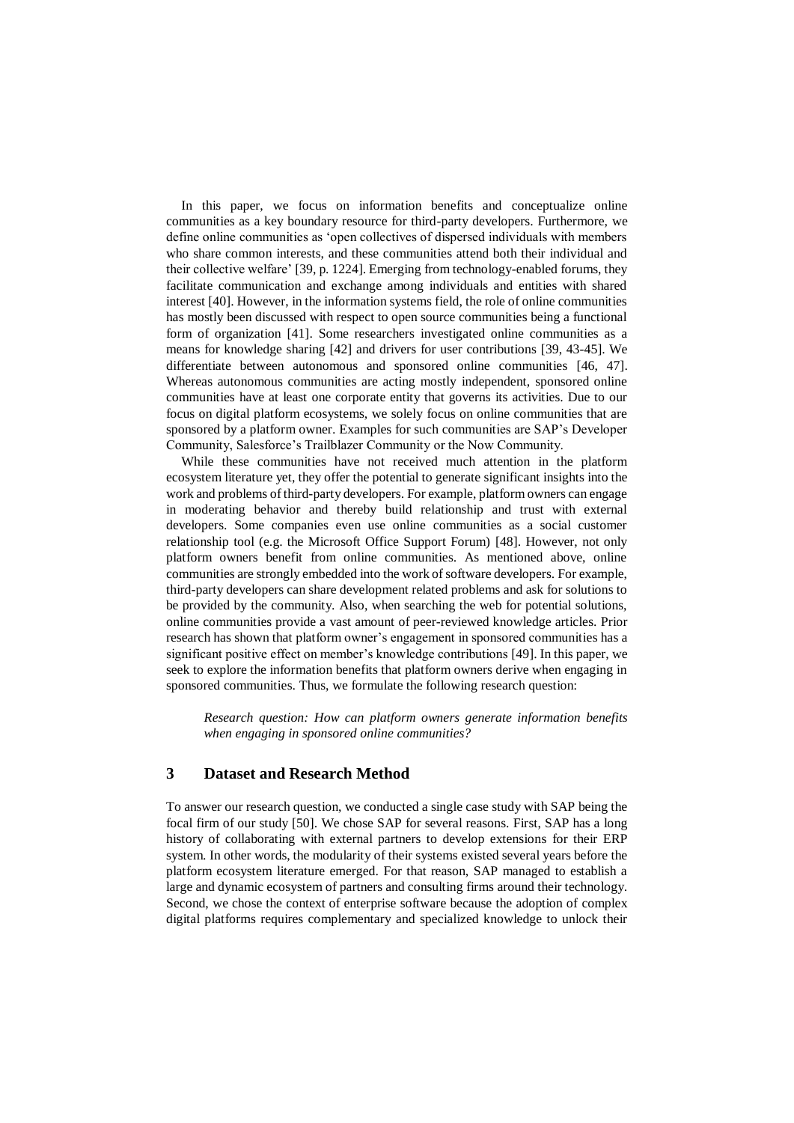In this paper, we focus on information benefits and conceptualize online communities as a key boundary resource for third-party developers. Furthermore, we define online communities as 'open collectives of dispersed individuals with members who share common interests, and these communities attend both their individual and their collective welfare' [39, p. 1224]. Emerging from technology-enabled forums, they facilitate communication and exchange among individuals and entities with shared interest [40]. However, in the information systems field, the role of online communities has mostly been discussed with respect to open source communities being a functional form of organization [41]. Some researchers investigated online communities as a means for knowledge sharing [42] and drivers for user contributions [39, 43-45]. We differentiate between autonomous and sponsored online communities [46, 47]. Whereas autonomous communities are acting mostly independent, sponsored online communities have at least one corporate entity that governs its activities. Due to our focus on digital platform ecosystems, we solely focus on online communities that are sponsored by a platform owner. Examples for such communities are SAP's Developer Community, Salesforce's Trailblazer Community or the Now Community.

While these communities have not received much attention in the platform ecosystem literature yet, they offer the potential to generate significant insights into the work and problems of third-party developers. For example, platform owners can engage in moderating behavior and thereby build relationship and trust with external developers. Some companies even use online communities as a social customer relationship tool (e.g. the Microsoft Office Support Forum) [48]. However, not only platform owners benefit from online communities. As mentioned above, online communities are strongly embedded into the work of software developers. For example, third-party developers can share development related problems and ask for solutions to be provided by the community. Also, when searching the web for potential solutions, online communities provide a vast amount of peer-reviewed knowledge articles. Prior research has shown that platform owner's engagement in sponsored communities has a significant positive effect on member's knowledge contributions [49]. In this paper, we seek to explore the information benefits that platform owners derive when engaging in sponsored communities. Thus, we formulate the following research question:

*Research question: How can platform owners generate information benefits when engaging in sponsored online communities?*

## **3 Dataset and Research Method**

To answer our research question, we conducted a single case study with SAP being the focal firm of our study [50]. We chose SAP for several reasons. First, SAP has a long history of collaborating with external partners to develop extensions for their ERP system. In other words, the modularity of their systems existed several years before the platform ecosystem literature emerged. For that reason, SAP managed to establish a large and dynamic ecosystem of partners and consulting firms around their technology. Second, we chose the context of enterprise software because the adoption of complex digital platforms requires complementary and specialized knowledge to unlock their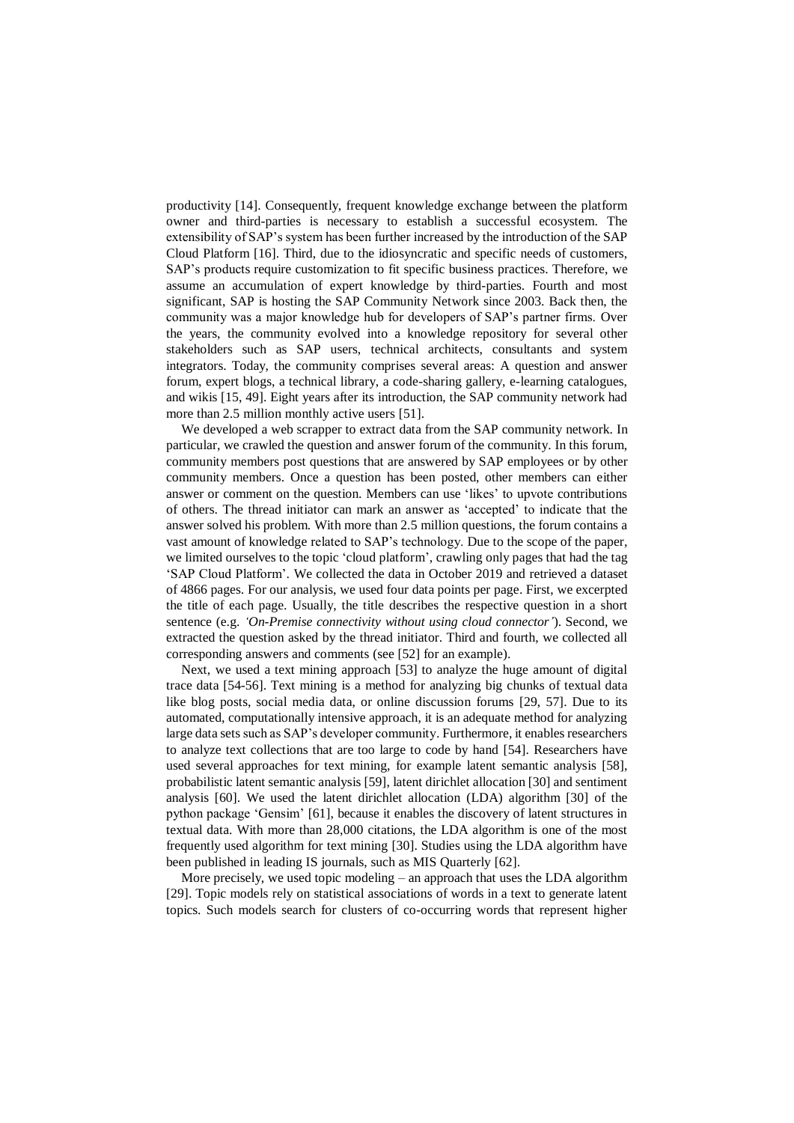productivity [14]. Consequently, frequent knowledge exchange between the platform owner and third-parties is necessary to establish a successful ecosystem. The extensibility of SAP's system has been further increased by the introduction of the SAP Cloud Platform [16]. Third, due to the idiosyncratic and specific needs of customers, SAP's products require customization to fit specific business practices. Therefore, we assume an accumulation of expert knowledge by third-parties. Fourth and most significant, SAP is hosting the SAP Community Network since 2003. Back then, the community was a major knowledge hub for developers of SAP's partner firms. Over the years, the community evolved into a knowledge repository for several other stakeholders such as SAP users, technical architects, consultants and system integrators. Today, the community comprises several areas: A question and answer forum, expert blogs, a technical library, a code-sharing gallery, e-learning catalogues, and wikis [15, 49]. Eight years after its introduction, the SAP community network had more than 2.5 million monthly active users [51].

We developed a web scrapper to extract data from the SAP community network. In particular, we crawled the question and answer forum of the community. In this forum, community members post questions that are answered by SAP employees or by other community members. Once a question has been posted, other members can either answer or comment on the question. Members can use 'likes' to upvote contributions of others. The thread initiator can mark an answer as 'accepted' to indicate that the answer solved his problem. With more than 2.5 million questions, the forum contains a vast amount of knowledge related to SAP's technology. Due to the scope of the paper, we limited ourselves to the topic 'cloud platform', crawling only pages that had the tag 'SAP Cloud Platform'. We collected the data in October 2019 and retrieved a dataset of 4866 pages. For our analysis, we used four data points per page. First, we excerpted the title of each page. Usually, the title describes the respective question in a short sentence (e.g. *'On-Premise connectivity without using cloud connector'*). Second, we extracted the question asked by the thread initiator. Third and fourth, we collected all corresponding answers and comments (see [52] for an example).

Next, we used a text mining approach [53] to analyze the huge amount of digital trace data [54-56]. Text mining is a method for analyzing big chunks of textual data like blog posts, social media data, or online discussion forums [29, 57]. Due to its automated, computationally intensive approach, it is an adequate method for analyzing large data sets such as SAP's developer community. Furthermore, it enables researchers to analyze text collections that are too large to code by hand [54]. Researchers have used several approaches for text mining, for example latent semantic analysis [58], probabilistic latent semantic analysis [59], latent dirichlet allocation [30] and sentiment analysis [60]. We used the latent dirichlet allocation (LDA) algorithm [30] of the python package 'Gensim' [61], because it enables the discovery of latent structures in textual data. With more than 28,000 citations, the LDA algorithm is one of the most frequently used algorithm for text mining [30]. Studies using the LDA algorithm have been published in leading IS journals, such as MIS Quarterly [62].

More precisely, we used topic modeling – an approach that uses the LDA algorithm [29]. Topic models rely on statistical associations of words in a text to generate latent topics. Such models search for clusters of co-occurring words that represent higher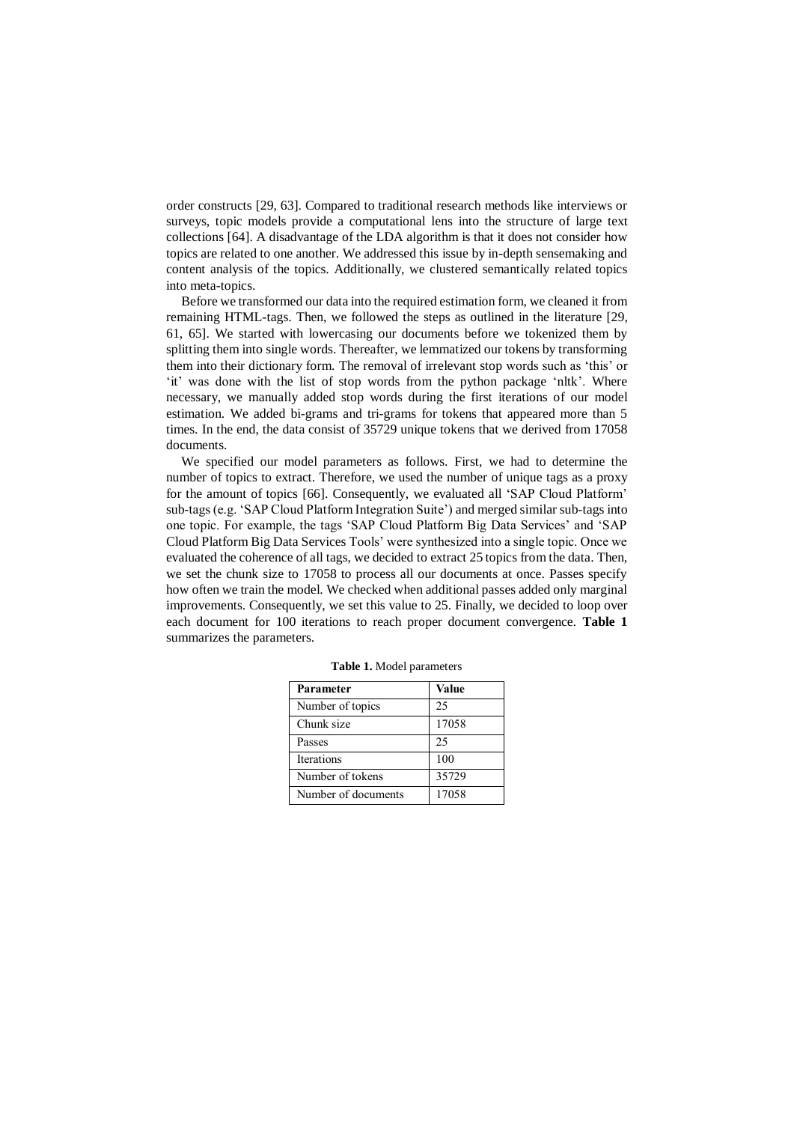order constructs [29, 63]. Compared to traditional research methods like interviews or surveys, topic models provide a computational lens into the structure of large text collections [64]. A disadvantage of the LDA algorithm is that it does not consider how topics are related to one another. We addressed this issue by in-depth sensemaking and content analysis of the topics. Additionally, we clustered semantically related topics into meta-topics.

Before we transformed our data into the required estimation form, we cleaned it from remaining HTML-tags. Then, we followed the steps as outlined in the literature [29, 61, 65]. We started with lowercasing our documents before we tokenized them by splitting them into single words. Thereafter, we lemmatized our tokens by transforming them into their dictionary form. The removal of irrelevant stop words such as 'this' or 'it' was done with the list of stop words from the python package 'nltk'. Where necessary, we manually added stop words during the first iterations of our model estimation. We added bi-grams and tri-grams for tokens that appeared more than 5 times. In the end, the data consist of 35729 unique tokens that we derived from 17058 documents.

We specified our model parameters as follows. First, we had to determine the number of topics to extract. Therefore, we used the number of unique tags as a proxy for the amount of topics [66]. Consequently, we evaluated all 'SAP Cloud Platform' sub-tags (e.g. 'SAP Cloud Platform Integration Suite') and merged similar sub-tags into one topic. For example, the tags 'SAP Cloud Platform Big Data Services' and 'SAP Cloud Platform Big Data Services Tools' were synthesized into a single topic. Once we evaluated the coherence of all tags, we decided to extract 25 topics from the data. Then, we set the chunk size to 17058 to process all our documents at once. Passes specify how often we train the model. We checked when additional passes added only marginal improvements. Consequently, we set this value to 25. Finally, we decided to loop over each document for 100 iterations to reach proper document convergence. **[Table 1](#page-7-0)** summarizes the parameters.

<span id="page-7-0"></span>

| Parameter           | Value |
|---------------------|-------|
| Number of topics    | 25    |
| Chunk size          | 17058 |
| Passes              | 25    |
| <b>Iterations</b>   | 100   |
| Number of tokens    | 35729 |
| Number of documents | 17058 |

**Table 1.** Model parameters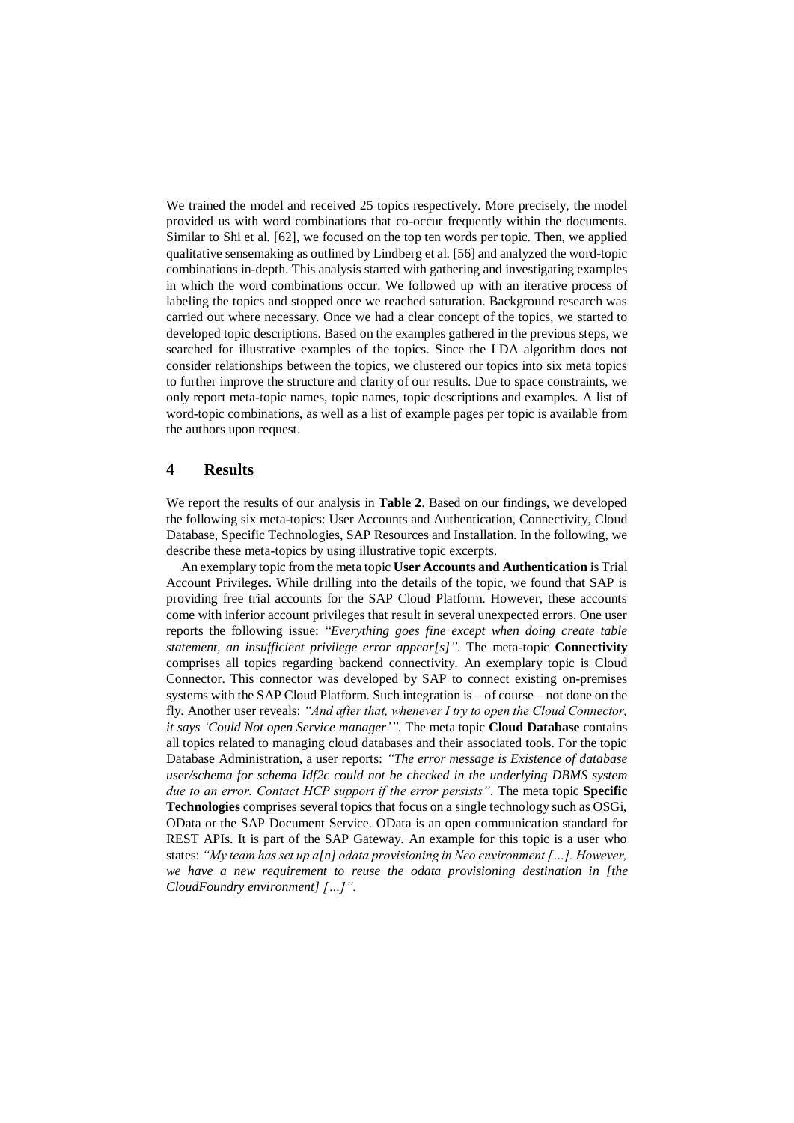We trained the model and received 25 topics respectively. More precisely, the model provided us with word combinations that co-occur frequently within the documents. Similar to Shi et al. [62], we focused on the top ten words per topic. Then, we applied qualitative sensemaking as outlined by Lindberg et al. [56] and analyzed the word-topic combinations in-depth. This analysis started with gathering and investigating examples in which the word combinations occur. We followed up with an iterative process of labeling the topics and stopped once we reached saturation. Background research was carried out where necessary. Once we had a clear concept of the topics, we started to developed topic descriptions. Based on the examples gathered in the previous steps, we searched for illustrative examples of the topics. Since the LDA algorithm does not consider relationships between the topics, we clustered our topics into six meta topics to further improve the structure and clarity of our results. Due to space constraints, we only report meta-topic names, topic names, topic descriptions and examples. A list of word-topic combinations, as well as a list of example pages per topic is available from the authors upon request.

#### **4 Results**

We report the results of our analysis in **[Table 2](#page-9-0)**. Based on our findings, we developed the following six meta-topics: User Accounts and Authentication, Connectivity, Cloud Database, Specific Technologies, SAP Resources and Installation. In the following, we describe these meta-topics by using illustrative topic excerpts.

An exemplary topic from the meta topic **User Accounts and Authentication** is Trial Account Privileges. While drilling into the details of the topic, we found that SAP is providing free trial accounts for the SAP Cloud Platform. However, these accounts come with inferior account privileges that result in several unexpected errors. One user reports the following issue: "*Everything goes fine except when doing create table statement, an insufficient privilege error appear[s]".* The meta-topic **Connectivity** comprises all topics regarding backend connectivity. An exemplary topic is Cloud Connector. This connector was developed by SAP to connect existing on-premises systems with the SAP Cloud Platform. Such integration is – of course – not done on the fly. Another user reveals: *"And after that, whenever I try to open the Cloud Connector, it says 'Could Not open Service manager'".* The meta topic **Cloud Database** contains all topics related to managing cloud databases and their associated tools. For the topic Database Administration, a user reports: *"The error message is Existence of database user/schema for schema Idf2c could not be checked in the underlying DBMS system due to an error. Contact HCP support if the error persists".* The meta topic **Specific Technologies** comprises several topics that focus on a single technology such as OSGi, OData or the SAP Document Service. OData is an open communication standard for REST APIs. It is part of the SAP Gateway. An example for this topic is a user who states: *"My team has set up a[n] odata provisioning in Neo environment […]. However, we have a new requirement to reuse the odata provisioning destination in [the CloudFoundry environment] […]".*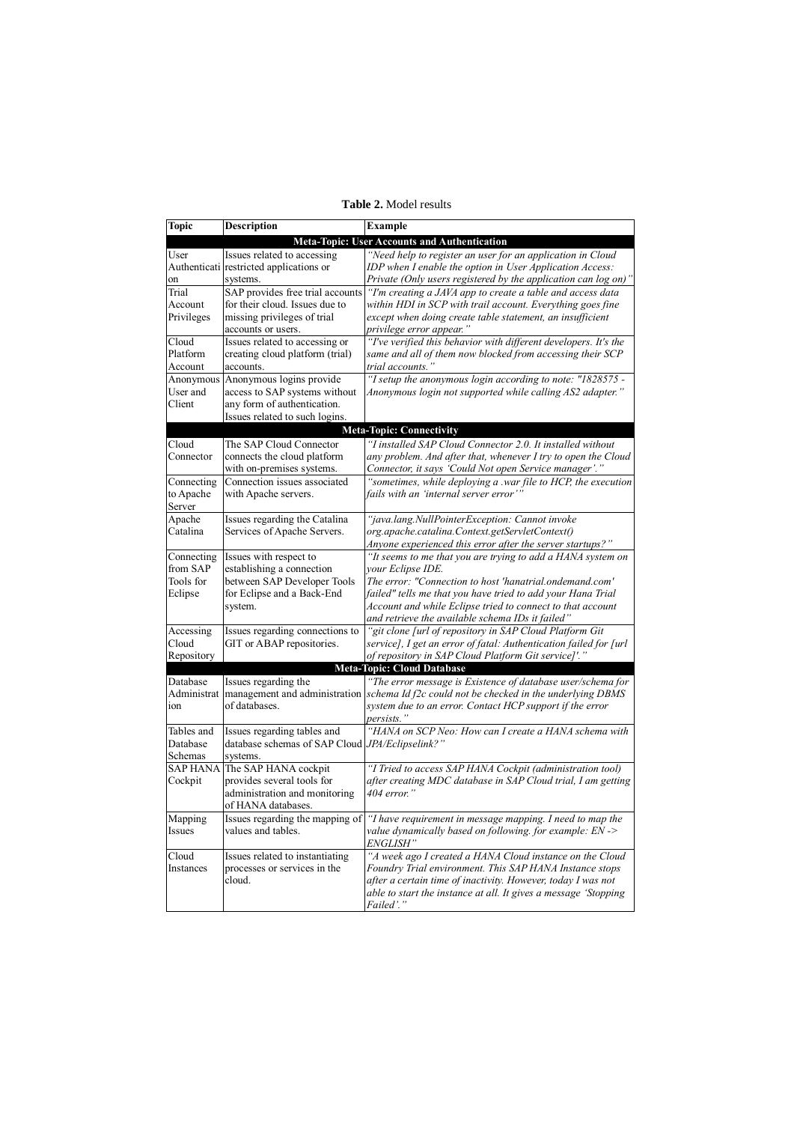| <b>Table 2. Model results</b> |  |  |
|-------------------------------|--|--|
|-------------------------------|--|--|

<span id="page-9-0"></span>

| Topic          | Description                                         | <b>Example</b>                                                                                                           |
|----------------|-----------------------------------------------------|--------------------------------------------------------------------------------------------------------------------------|
|                |                                                     | <b>Meta-Topic: User Accounts and Authentication</b>                                                                      |
| User           | Issues related to accessing                         | "Need help to register an user for an application in Cloud                                                               |
|                | Authenticati restricted applications or             | IDP when I enable the option in User Application Access:                                                                 |
| on             | systems.                                            | Private (Only users registered by the application can log on)"                                                           |
| Trial          | SAP provides free trial accounts                    | "I'm creating a JAVA app to create a table and access data                                                               |
| Account        | for their cloud. Issues due to                      | within HDI in SCP with trail account. Everything goes fine                                                               |
| Privileges     | missing privileges of trial                         | except when doing create table statement, an insufficient                                                                |
|                | accounts or users.                                  | privilege error appear."                                                                                                 |
| Cloud          | Issues related to accessing or                      | "I've verified this behavior with different developers. It's the                                                         |
| Platform       | creating cloud platform (trial)                     | same and all of them now blocked from accessing their SCP                                                                |
| Account        | accounts.                                           | trial accounts."                                                                                                         |
| Anonymous      | Anonymous logins provide                            | "I setup the anonymous login according to note: "1828575 -                                                               |
| User and       | access to SAP systems without                       | Anonymous login not supported while calling AS2 adapter."                                                                |
| Client         | any form of authentication.                         |                                                                                                                          |
|                | Issues related to such logins.                      |                                                                                                                          |
|                |                                                     | <b>Meta-Topic: Connectivity</b>                                                                                          |
| Cloud          | The SAP Cloud Connector                             | "I installed SAP Cloud Connector 2.0. It installed without                                                               |
| Connector      | connects the cloud platform                         | any problem. And after that, whenever I try to open the Cloud                                                            |
|                | with on-premises systems.                           | Connector, it says 'Could Not open Service manager'."                                                                    |
| Connecting     | Connection issues associated                        | "sometimes, while deploying a .war file to HCP, the execution                                                            |
| to Apache      | with Apache servers.                                | fails with an 'internal server error''                                                                                   |
| Server         |                                                     |                                                                                                                          |
| Apache         | Issues regarding the Catalina                       | "java.lang.NullPointerException: Cannot invoke                                                                           |
| Catalina       | Services of Apache Servers.                         | org.apache.catalina.Context.getServletContext()                                                                          |
| Connecting     |                                                     | Anyone experienced this error after the server startups?"<br>"It seems to me that you are trying to add a HANA system on |
| from SAP       | Issues with respect to<br>establishing a connection | <i>vour Eclipse IDE.</i>                                                                                                 |
| Tools for      | between SAP Developer Tools                         | The error: "Connection to host 'hanatrial.ondemand.com'                                                                  |
| Eclipse        | for Eclipse and a Back-End                          | failed" tells me that you have tried to add your Hana Trial                                                              |
|                | system.                                             | Account and while Eclipse tried to connect to that account                                                               |
|                |                                                     | and retrieve the available schema IDs it failed"                                                                         |
| Accessing      | Issues regarding connections to                     | "git clone [url of repository in SAP Cloud Platform Git                                                                  |
| Cloud          | GIT or ABAP repositories.                           | service], I get an error of fatal: Authentication failed for [url                                                        |
| Repository     |                                                     | of repository in SAP Cloud Platform Git service]'."                                                                      |
|                |                                                     | <b>Meta-Topic: Cloud Database</b>                                                                                        |
| Database       | Issues regarding the                                | "The error message is Existence of database user/schema for                                                              |
| Administrat    | management and administration                       | schema Id f2c could not be checked in the underlying DBMS                                                                |
| ion            | of databases.                                       | system due to an error. Contact HCP support if the error                                                                 |
|                |                                                     | persists."                                                                                                               |
| Tables and     | Issues regarding tables and                         | "HANA on SCP Neo: How can I create a HANA schema with                                                                    |
| Database       | database schemas of SAP Cloud JPA/Eclipselink?"     |                                                                                                                          |
| Schemas        | systems.                                            |                                                                                                                          |
| <b>SAPHANA</b> | The SAP HANA cockpit                                | "I Tried to access SAP HANA Cockpit (administration tool)                                                                |
| Cockpit        | provides several tools for                          | after creating MDC database in SAP Cloud trial, I am getting                                                             |
|                | administration and monitoring<br>of HANA databases. | 404 error."                                                                                                              |
| Mapping        | Issues regarding the mapping of                     | "I have requirement in message mapping. I need to map the                                                                |
| <b>Issues</b>  | values and tables.                                  | value dynamically based on following. for example: EN ->                                                                 |
|                |                                                     | <i>ENGLISH"</i>                                                                                                          |
| Cloud          | Issues related to instantiating                     | "A week ago I created a HANA Cloud instance on the Cloud                                                                 |
| Instances      | processes or services in the                        | Foundry Trial environment. This SAP HANA Instance stops                                                                  |
|                | cloud.                                              | after a certain time of inactivity. However, today I was not                                                             |
|                |                                                     | able to start the instance at all. It gives a message 'Stopping                                                          |
|                |                                                     | Failed'."                                                                                                                |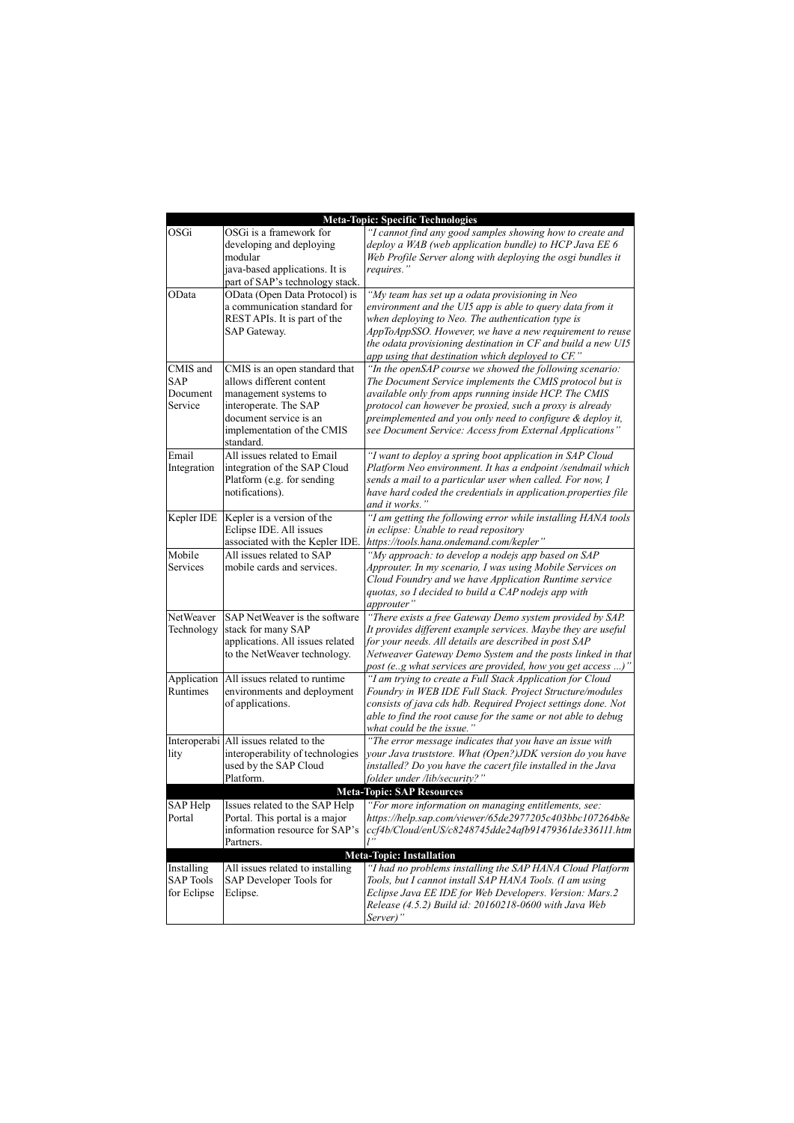| <b>Meta-Topic: Specific Technologies</b> |                                                              |                                                                                                                                |  |  |
|------------------------------------------|--------------------------------------------------------------|--------------------------------------------------------------------------------------------------------------------------------|--|--|
| OSGi                                     | OSGi is a framework for                                      | "I cannot find any good samples showing how to create and                                                                      |  |  |
|                                          | developing and deploying                                     | deploy a WAB (web application bundle) to HCP Java EE 6                                                                         |  |  |
|                                          | modular<br>java-based applications. It is                    | Web Profile Server along with deploying the osgi bundles it<br>requires."                                                      |  |  |
|                                          | part of SAP's technology stack.                              |                                                                                                                                |  |  |
| OData                                    | OData (Open Data Protocol) is                                | "My team has set up a odata provisioning in Neo                                                                                |  |  |
|                                          | a communication standard for                                 | environment and the UI5 app is able to query data from it                                                                      |  |  |
|                                          | RESTAPIs. It is part of the                                  | when deploying to Neo. The authentication type is                                                                              |  |  |
|                                          | SAP Gateway.                                                 | AppToAppSSO. However, we have a new requirement to reuse<br>the odata provisioning destination in CF and build a new UI5       |  |  |
|                                          |                                                              | app using that destination which deployed to CF."                                                                              |  |  |
| CMIS and                                 | CMIS is an open standard that                                | "In the openSAP course we showed the following scenario:                                                                       |  |  |
| SAP                                      | allows different content                                     | The Document Service implements the CMIS protocol but is                                                                       |  |  |
| Document                                 | management systems to                                        | available only from apps running inside HCP. The CMIS                                                                          |  |  |
| Service                                  | interoperate. The SAP<br>document service is an              | protocol can however be proxied, such a proxy is already<br>preimplemented and you only need to configure & deploy it,         |  |  |
|                                          | implementation of the CMIS                                   | see Document Service: Access from External Applications"                                                                       |  |  |
|                                          | standard.                                                    |                                                                                                                                |  |  |
| Email                                    | All issues related to Email                                  | "I want to deploy a spring boot application in SAP Cloud                                                                       |  |  |
| Integration                              | integration of the SAP Cloud                                 | Platform Neo environment. It has a endpoint /sendmail which                                                                    |  |  |
|                                          | Platform (e.g. for sending<br>notifications).                | sends a mail to a particular user when called. For now, I<br>have hard coded the credentials in application.properties file    |  |  |
|                                          |                                                              | and it works."                                                                                                                 |  |  |
| Kepler IDE                               | Kepler is a version of the                                   | "I am getting the following error while installing HANA tools                                                                  |  |  |
|                                          | Eclipse IDE. All issues                                      | in eclipse: Unable to read repository                                                                                          |  |  |
| Mobile                                   | associated with the Kepler IDE.<br>All issues related to SAP | https://tools.hana.ondemand.com/kepler"                                                                                        |  |  |
| Services                                 | mobile cards and services.                                   | "My approach: to develop a nodejs app based on SAP<br>Approuter. In my scenario, I was using Mobile Services on                |  |  |
|                                          |                                                              | Cloud Foundry and we have Application Runtime service                                                                          |  |  |
|                                          |                                                              | quotas, so I decided to build a CAP nodejs app with                                                                            |  |  |
|                                          |                                                              | <i>approuter</i> "                                                                                                             |  |  |
| NetWeaver                                | SAP NetWeaver is the software                                | "There exists a free Gateway Demo system provided by SAP.                                                                      |  |  |
| Technology                               | stack for many SAP<br>applications. All issues related       | It provides different example services. Maybe they are useful<br>for your needs. All details are described in post SAP         |  |  |
|                                          | to the NetWeaver technology.                                 | Netweaver Gateway Demo System and the posts linked in that                                                                     |  |  |
|                                          |                                                              | post (eg what services are provided, how you get access )"                                                                     |  |  |
| Application                              | All issues related to runtime                                | "I am trying to create a Full Stack Application for Cloud                                                                      |  |  |
| Runtimes                                 | environments and deployment                                  | Foundry in WEB IDE Full Stack. Project Structure/modules                                                                       |  |  |
|                                          | of applications.                                             | consists of java cds hdb. Required Project settings done. Not<br>able to find the root cause for the same or not able to debug |  |  |
|                                          |                                                              | what could be the issue."                                                                                                      |  |  |
|                                          | Interoperabi All issues related to the                       | "The error message indicates that you have an issue with                                                                       |  |  |
| lity                                     | interoperability of technologies                             | your Java truststore. What (Open?)JDK version do you have                                                                      |  |  |
|                                          | used by the SAP Cloud                                        | installed? Do you have the cacert file installed in the Java                                                                   |  |  |
|                                          | Platform.                                                    | folder under /lib/security?"<br><b>Meta-Topic: SAP Resources</b>                                                               |  |  |
|                                          |                                                              | SAP Help Issues related to the SAP Help <i>'For more information on managing entitlements, see:</i>                            |  |  |
| Portal                                   | Portal. This portal is a major                               | https://help.sap.com/viewer/65de2977205c403bbc107264b8e                                                                        |  |  |
|                                          | information resource for SAP's                               | ccf4b/Cloud/enUS/c8248745dde24afb91479361de336111.htm                                                                          |  |  |
|                                          | Partners.                                                    |                                                                                                                                |  |  |
|                                          |                                                              | <b>Meta-Topic: Installation</b>                                                                                                |  |  |
| Installing<br><b>SAP Tools</b>           | All issues related to installing<br>SAP Developer Tools for  | "I had no problems installing the SAP HANA Cloud Platform<br>Tools, but I cannot install SAP HANA Tools. (I am using           |  |  |
| for Eclipse                              | Eclipse.                                                     | Eclipse Java EE IDE for Web Developers. Version: Mars.2                                                                        |  |  |
|                                          |                                                              | Release (4.5.2) Build id: 20160218-0600 with Java Web                                                                          |  |  |
|                                          |                                                              | Server)''                                                                                                                      |  |  |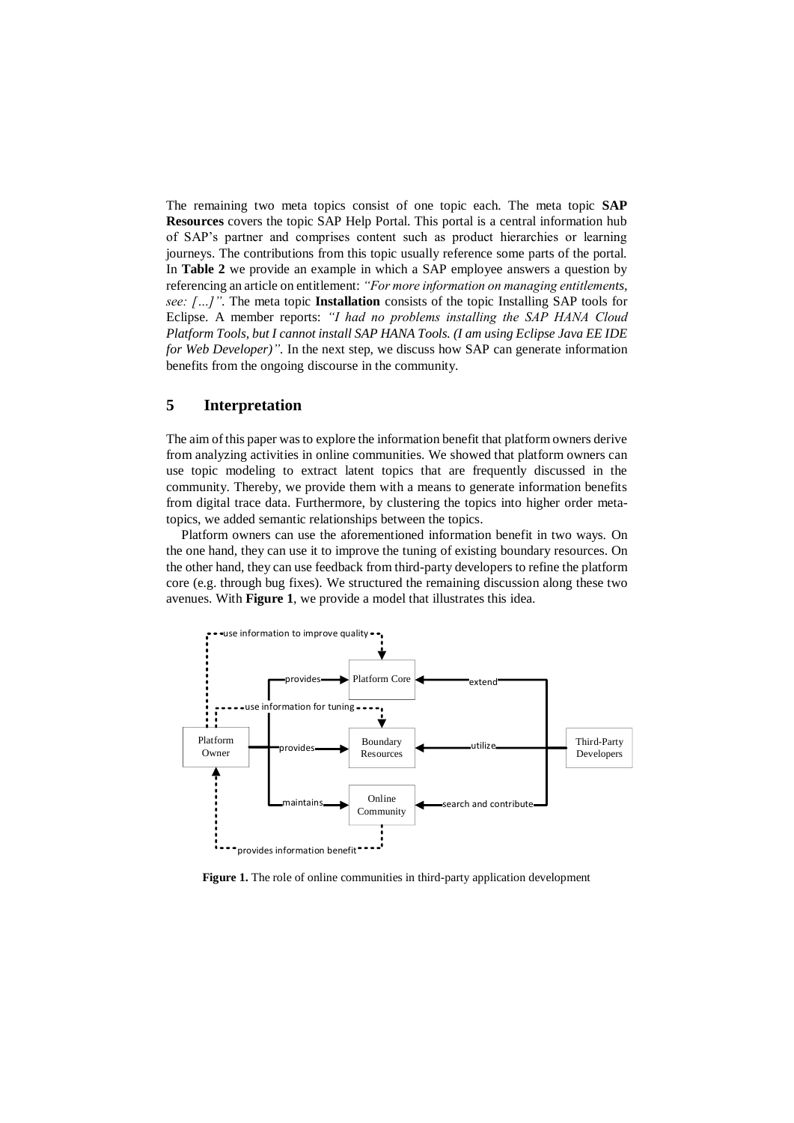The remaining two meta topics consist of one topic each. The meta topic **SAP Resources** covers the topic SAP Help Portal. This portal is a central information hub of SAP's partner and comprises content such as product hierarchies or learning journeys. The contributions from this topic usually reference some parts of the portal. In **[Table 2](#page-9-0)** we provide an example in which a SAP employee answers a question by referencing an article on entitlement: *"For more information on managing entitlements, see: […]"*. The meta topic **Installation** consists of the topic Installing SAP tools for Eclipse. A member reports: *"I had no problems installing the SAP HANA Cloud Platform Tools, but I cannot install SAP HANA Tools. (I am using Eclipse Java EE IDE for Web Developer)".* In the next step, we discuss how SAP can generate information benefits from the ongoing discourse in the community.

## **5 Interpretation**

The aim of this paper was to explore the information benefit that platform owners derive from analyzing activities in online communities. We showed that platform owners can use topic modeling to extract latent topics that are frequently discussed in the community. Thereby, we provide them with a means to generate information benefits from digital trace data. Furthermore, by clustering the topics into higher order metatopics, we added semantic relationships between the topics.

Platform owners can use the aforementioned information benefit in two ways. On the one hand, they can use it to improve the tuning of existing boundary resources. On the other hand, they can use feedback from third-party developers to refine the platform core (e.g. through bug fixes). We structured the remaining discussion along these two avenues. With **[Figure 1](#page-11-0)**, we provide a model that illustrates this idea.



<span id="page-11-0"></span>Figure 1. The role of online communities in third-party application development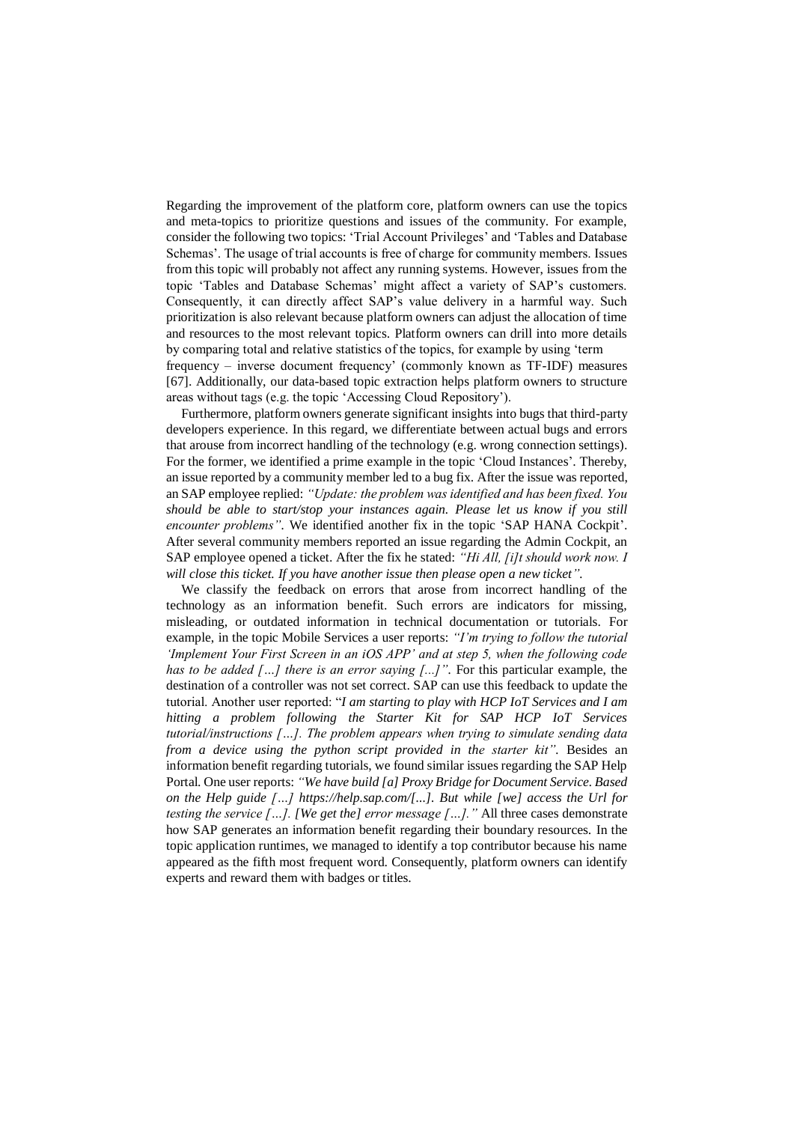Regarding the improvement of the platform core, platform owners can use the topics and meta-topics to prioritize questions and issues of the community. For example, consider the following two topics: 'Trial Account Privileges' and 'Tables and Database Schemas'. The usage of trial accounts is free of charge for community members. Issues from this topic will probably not affect any running systems. However, issues from the topic 'Tables and Database Schemas' might affect a variety of SAP's customers. Consequently, it can directly affect SAP's value delivery in a harmful way. Such prioritization is also relevant because platform owners can adjust the allocation of time and resources to the most relevant topics. Platform owners can drill into more details by comparing total and relative statistics of the topics, for example by using 'term frequency – inverse document frequency' (commonly known as TF-IDF) measures [67]. Additionally, our data-based topic extraction helps platform owners to structure areas without tags (e.g. the topic 'Accessing Cloud Repository').

Furthermore, platform owners generate significant insights into bugs that third-party developers experience. In this regard, we differentiate between actual bugs and errors that arouse from incorrect handling of the technology (e.g. wrong connection settings). For the former, we identified a prime example in the topic 'Cloud Instances'. Thereby, an issue reported by a community member led to a bug fix. After the issue was reported, an SAP employee replied: *"Update: the problem was identified and has been fixed. You should be able to start/stop your instances again. Please let us know if you still encounter problems".* We identified another fix in the topic 'SAP HANA Cockpit'. After several community members reported an issue regarding the Admin Cockpit, an SAP employee opened a ticket. After the fix he stated: *"Hi All, [i]t should work now. I will close this ticket. If you have another issue then please open a new ticket".*

We classify the feedback on errors that arose from incorrect handling of the technology as an information benefit. Such errors are indicators for missing, misleading, or outdated information in technical documentation or tutorials. For example, in the topic Mobile Services a user reports: *"I'm trying to follow the tutorial 'Implement Your First Screen in an iOS APP' and at step 5, when the following code has to be added […] there is an error saying […]".* For this particular example, the destination of a controller was not set correct. SAP can use this feedback to update the tutorial. Another user reported: "*I am starting to play with HCP IoT Services and I am hitting a problem following the Starter Kit for SAP HCP IoT Services tutorial/instructions […]. The problem appears when trying to simulate sending data from a device using the python script provided in the starter kit".* Besides an information benefit regarding tutorials, we found similar issues regarding the SAP Help Portal. One user reports: *"We have build [a] Proxy Bridge for Document Service. Based on the Help guide […] [https://help.sap.com/\[...\].](https://help.sap.com/%5b...%5d) But while [we] access the Url for testing the service […]. [We get the] error message […]."* All three cases demonstrate how SAP generates an information benefit regarding their boundary resources. In the topic application runtimes, we managed to identify a top contributor because his name appeared as the fifth most frequent word. Consequently, platform owners can identify experts and reward them with badges or titles.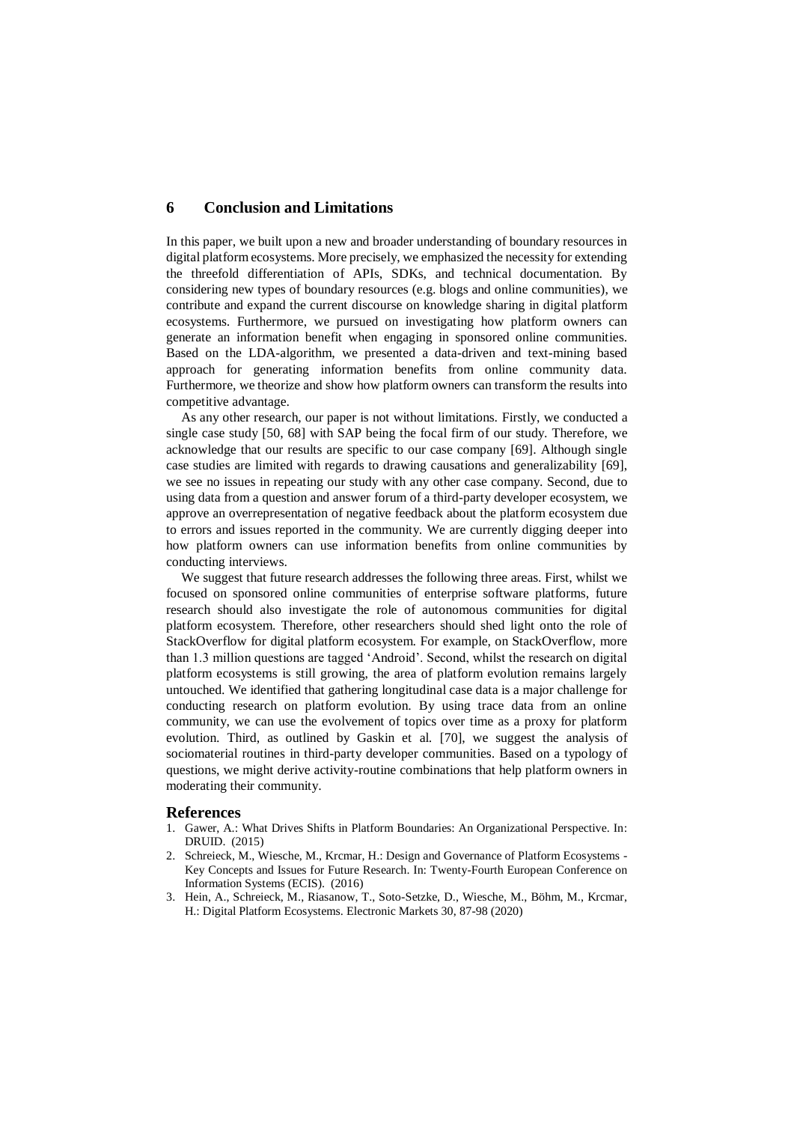## **6 Conclusion and Limitations**

In this paper, we built upon a new and broader understanding of boundary resources in digital platform ecosystems. More precisely, we emphasized the necessity for extending the threefold differentiation of APIs, SDKs, and technical documentation. By considering new types of boundary resources (e.g. blogs and online communities), we contribute and expand the current discourse on knowledge sharing in digital platform ecosystems. Furthermore, we pursued on investigating how platform owners can generate an information benefit when engaging in sponsored online communities. Based on the LDA-algorithm, we presented a data-driven and text-mining based approach for generating information benefits from online community data. Furthermore, we theorize and show how platform owners can transform the results into competitive advantage.

As any other research, our paper is not without limitations. Firstly, we conducted a single case study [50, 68] with SAP being the focal firm of our study. Therefore, we acknowledge that our results are specific to our case company [69]. Although single case studies are limited with regards to drawing causations and generalizability [69], we see no issues in repeating our study with any other case company. Second, due to using data from a question and answer forum of a third-party developer ecosystem, we approve an overrepresentation of negative feedback about the platform ecosystem due to errors and issues reported in the community. We are currently digging deeper into how platform owners can use information benefits from online communities by conducting interviews.

We suggest that future research addresses the following three areas. First, whilst we focused on sponsored online communities of enterprise software platforms, future research should also investigate the role of autonomous communities for digital platform ecosystem. Therefore, other researchers should shed light onto the role of StackOverflow for digital platform ecosystem. For example, on StackOverflow, more than 1.3 million questions are tagged 'Android'. Second, whilst the research on digital platform ecosystems is still growing, the area of platform evolution remains largely untouched. We identified that gathering longitudinal case data is a major challenge for conducting research on platform evolution. By using trace data from an online community, we can use the evolvement of topics over time as a proxy for platform evolution. Third, as outlined by Gaskin et al. [70], we suggest the analysis of sociomaterial routines in third-party developer communities. Based on a typology of questions, we might derive activity-routine combinations that help platform owners in moderating their community.

#### **References**

- 1. Gawer, A.: What Drives Shifts in Platform Boundaries: An Organizational Perspective. In: DRUID. (2015)
- 2. Schreieck, M., Wiesche, M., Krcmar, H.: Design and Governance of Platform Ecosystems Key Concepts and Issues for Future Research. In: Twenty-Fourth European Conference on Information Systems (ECIS). (2016)
- 3. Hein, A., Schreieck, M., Riasanow, T., Soto-Setzke, D., Wiesche, M., Böhm, M., Krcmar, H.: Digital Platform Ecosystems. Electronic Markets 30, 87-98 (2020)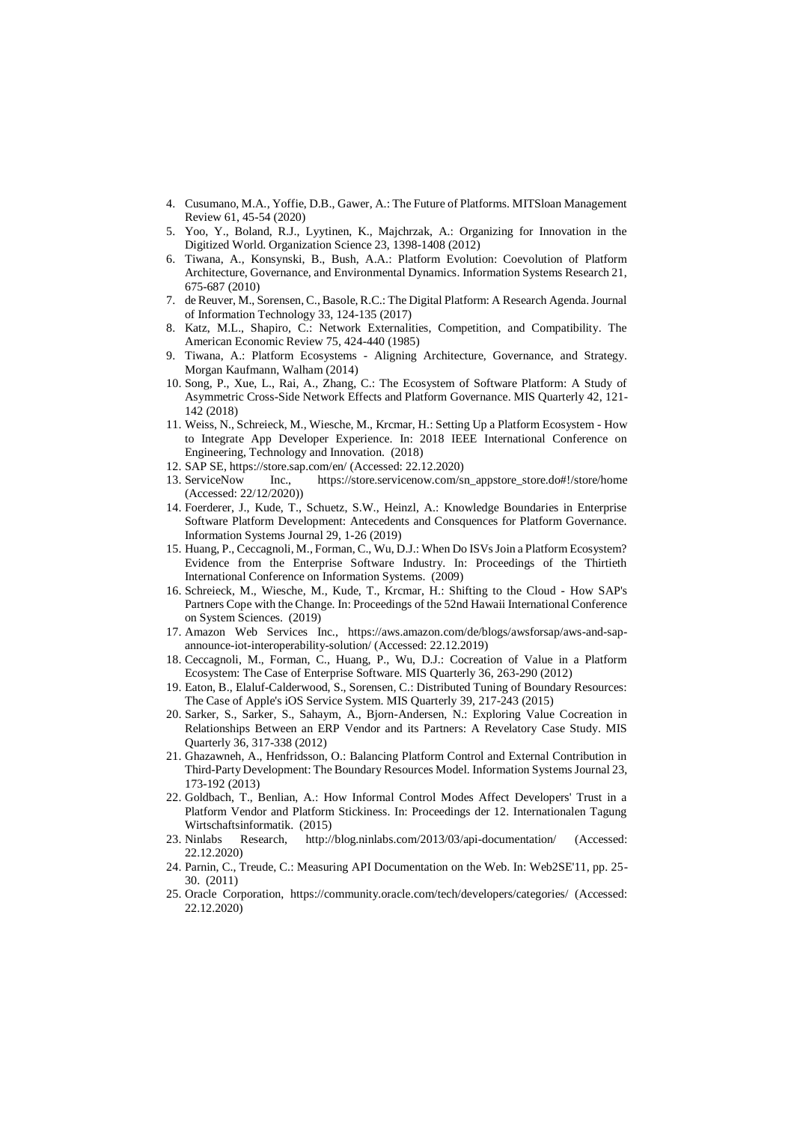- 4. Cusumano, M.A., Yoffie, D.B., Gawer, A.: The Future of Platforms. MITSloan Management Review 61, 45-54 (2020)
- 5. Yoo, Y., Boland, R.J., Lyytinen, K., Majchrzak, A.: Organizing for Innovation in the Digitized World. Organization Science 23, 1398-1408 (2012)
- 6. Tiwana, A., Konsynski, B., Bush, A.A.: Platform Evolution: Coevolution of Platform Architecture, Governance, and Environmental Dynamics. Information Systems Research 21, 675-687 (2010)
- 7. de Reuver, M., Sorensen, C., Basole, R.C.: The Digital Platform: A Research Agenda. Journal of Information Technology 33, 124-135 (2017)
- 8. Katz, M.L., Shapiro, C.: Network Externalities, Competition, and Compatibility. The American Economic Review 75, 424-440 (1985)
- 9. Tiwana, A.: Platform Ecosystems Aligning Architecture, Governance, and Strategy. Morgan Kaufmann, Walham (2014)
- 10. Song, P., Xue, L., Rai, A., Zhang, C.: The Ecosystem of Software Platform: A Study of Asymmetric Cross-Side Network Effects and Platform Governance. MIS Quarterly 42, 121- 142 (2018)
- 11. Weiss, N., Schreieck, M., Wiesche, M., Krcmar, H.: Setting Up a Platform Ecosystem How to Integrate App Developer Experience. In: 2018 IEEE International Conference on Engineering, Technology and Innovation. (2018)
- 12. SAP SE[, https://store.sap.com/en/](https://store.sap.com/en/) (Accessed: 22.12.2020)
- 13. ServiceNow Inc., [https://store.servicenow.com/sn\\_appstore\\_store.do#!/store/home](https://store.servicenow.com/sn_appstore_store.do#!/store/home) (Accessed: 22/12/2020))
- 14. Foerderer, J., Kude, T., Schuetz, S.W., Heinzl, A.: Knowledge Boundaries in Enterprise Software Platform Development: Antecedents and Consquences for Platform Governance. Information Systems Journal 29, 1-26 (2019)
- 15. Huang, P., Ceccagnoli, M., Forman, C., Wu, D.J.: When Do ISVs Join a Platform Ecosystem? Evidence from the Enterprise Software Industry. In: Proceedings of the Thirtieth International Conference on Information Systems. (2009)
- 16. Schreieck, M., Wiesche, M., Kude, T., Krcmar, H.: Shifting to the Cloud How SAP's Partners Cope with the Change. In: Proceedings of the 52nd Hawaii International Conference on System Sciences. (2019)
- 17. Amazon Web Services Inc., [https://aws.amazon.com/de/blogs/awsforsap/aws-and-sap](https://aws.amazon.com/de/blogs/awsforsap/aws-and-sap-announce-iot-interoperability-solution/)[announce-iot-interoperability-solution/](https://aws.amazon.com/de/blogs/awsforsap/aws-and-sap-announce-iot-interoperability-solution/) (Accessed: 22.12.2019)
- 18. Ceccagnoli, M., Forman, C., Huang, P., Wu, D.J.: Cocreation of Value in a Platform Ecosystem: The Case of Enterprise Software. MIS Quarterly 36, 263-290 (2012)
- 19. Eaton, B., Elaluf-Calderwood, S., Sorensen, C.: Distributed Tuning of Boundary Resources: The Case of Apple's iOS Service System. MIS Quarterly 39, 217-243 (2015)
- 20. Sarker, S., Sarker, S., Sahaym, A., Bjorn-Andersen, N.: Exploring Value Cocreation in Relationships Between an ERP Vendor and its Partners: A Revelatory Case Study. MIS Quarterly 36, 317-338 (2012)
- 21. Ghazawneh, A., Henfridsson, O.: Balancing Platform Control and External Contribution in Third-Party Development: The Boundary Resources Model. Information Systems Journal 23, 173-192 (2013)
- 22. Goldbach, T., Benlian, A.: How Informal Control Modes Affect Developers' Trust in a Platform Vendor and Platform Stickiness. In: Proceedings der 12. Internationalen Tagung Wirtschaftsinformatik. (2015)
- 23. Ninlabs Research, <http://blog.ninlabs.com/2013/03/api-documentation/> (Accessed: 22.12.2020)
- 24. Parnin, C., Treude, C.: Measuring API Documentation on the Web. In: Web2SE'11, pp. 25- 30. (2011)
- 25. Oracle Corporation, <https://community.oracle.com/tech/developers/categories/> (Accessed: 22.12.2020)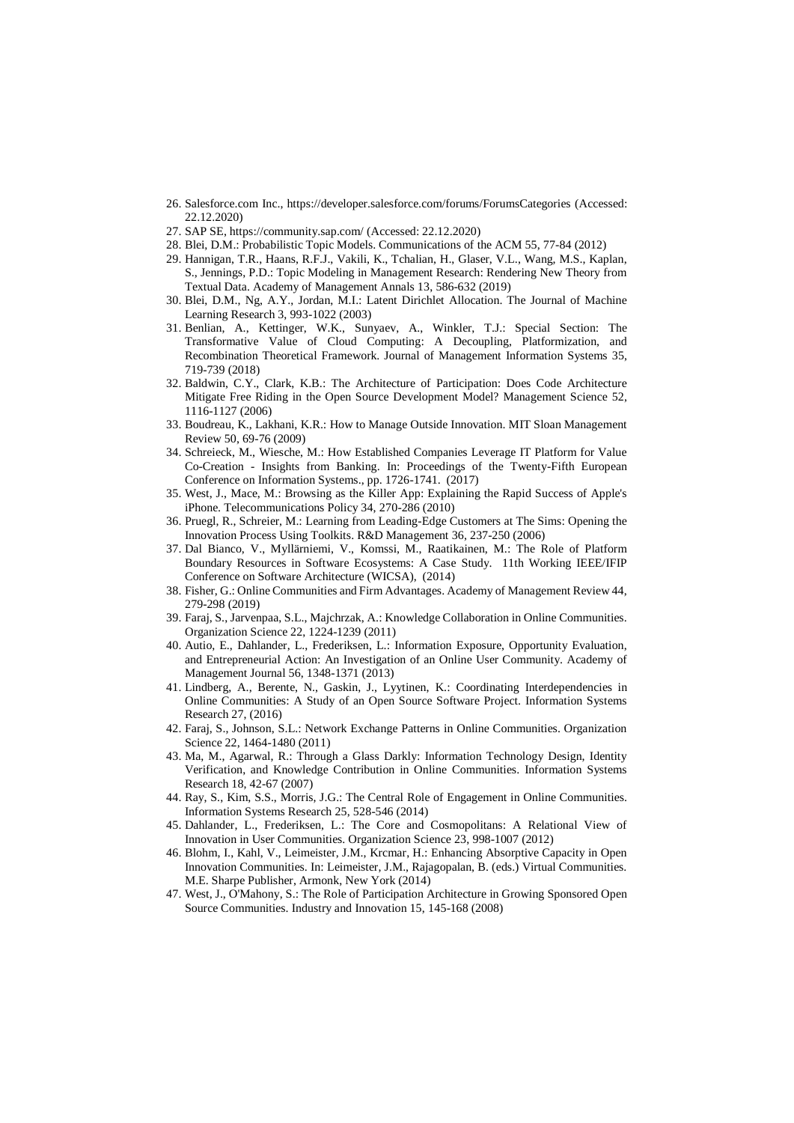- 26. Salesforce.com Inc.,<https://developer.salesforce.com/forums/ForumsCategories> (Accessed: 22.12.2020)
- 27. SAP SE[, https://community.sap.com/](https://community.sap.com/) (Accessed: 22.12.2020)
- 28. Blei, D.M.: Probabilistic Topic Models. Communications of the ACM 55, 77-84 (2012)
- 29. Hannigan, T.R., Haans, R.F.J., Vakili, K., Tchalian, H., Glaser, V.L., Wang, M.S., Kaplan, S., Jennings, P.D.: Topic Modeling in Management Research: Rendering New Theory from Textual Data. Academy of Management Annals 13, 586-632 (2019)
- 30. Blei, D.M., Ng, A.Y., Jordan, M.I.: Latent Dirichlet Allocation. The Journal of Machine Learning Research 3, 993-1022 (2003)
- 31. Benlian, A., Kettinger, W.K., Sunyaev, A., Winkler, T.J.: Special Section: The Transformative Value of Cloud Computing: A Decoupling, Platformization, and Recombination Theoretical Framework. Journal of Management Information Systems 35, 719-739 (2018)
- 32. Baldwin, C.Y., Clark, K.B.: The Architecture of Participation: Does Code Architecture Mitigate Free Riding in the Open Source Development Model? Management Science 52, 1116-1127 (2006)
- 33. Boudreau, K., Lakhani, K.R.: How to Manage Outside Innovation. MIT Sloan Management Review 50, 69-76 (2009)
- 34. Schreieck, M., Wiesche, M.: How Established Companies Leverage IT Platform for Value Co-Creation - Insights from Banking. In: Proceedings of the Twenty-Fifth European Conference on Information Systems., pp. 1726-1741. (2017)
- 35. West, J., Mace, M.: Browsing as the Killer App: Explaining the Rapid Success of Apple's iPhone. Telecommunications Policy 34, 270-286 (2010)
- 36. Pruegl, R., Schreier, M.: Learning from Leading-Edge Customers at The Sims: Opening the Innovation Process Using Toolkits. R&D Management 36, 237-250 (2006)
- 37. Dal Bianco, V., Myllärniemi, V., Komssi, M., Raatikainen, M.: The Role of Platform Boundary Resources in Software Ecosystems: A Case Study. 11th Working IEEE/IFIP Conference on Software Architecture (WICSA), (2014)
- 38. Fisher, G.: Online Communities and Firm Advantages. Academy of Management Review 44, 279-298 (2019)
- 39. Faraj, S., Jarvenpaa, S.L., Majchrzak, A.: Knowledge Collaboration in Online Communities. Organization Science 22, 1224-1239 (2011)
- 40. Autio, E., Dahlander, L., Frederiksen, L.: Information Exposure, Opportunity Evaluation, and Entrepreneurial Action: An Investigation of an Online User Community. Academy of Management Journal 56, 1348-1371 (2013)
- 41. Lindberg, A., Berente, N., Gaskin, J., Lyytinen, K.: Coordinating Interdependencies in Online Communities: A Study of an Open Source Software Project. Information Systems Research 27, (2016)
- 42. Faraj, S., Johnson, S.L.: Network Exchange Patterns in Online Communities. Organization Science 22, 1464-1480 (2011)
- 43. Ma, M., Agarwal, R.: Through a Glass Darkly: Information Technology Design, Identity Verification, and Knowledge Contribution in Online Communities. Information Systems Research 18, 42-67 (2007)
- 44. Ray, S., Kim, S.S., Morris, J.G.: The Central Role of Engagement in Online Communities. Information Systems Research 25, 528-546 (2014)
- 45. Dahlander, L., Frederiksen, L.: The Core and Cosmopolitans: A Relational View of Innovation in User Communities. Organization Science 23, 998-1007 (2012)
- 46. Blohm, I., Kahl, V., Leimeister, J.M., Krcmar, H.: Enhancing Absorptive Capacity in Open Innovation Communities. In: Leimeister, J.M., Rajagopalan, B. (eds.) Virtual Communities. M.E. Sharpe Publisher, Armonk, New York (2014)
- 47. West, J., O'Mahony, S.: The Role of Participation Architecture in Growing Sponsored Open Source Communities. Industry and Innovation 15, 145-168 (2008)